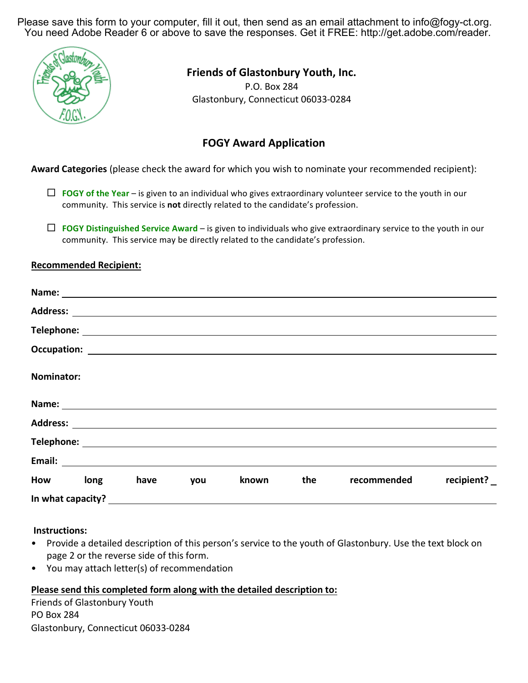Please save this form to your computer, fill it out, then send as an email attachment to info@fogy-ct.org. You need Adobe Reader 6 or above to save the responses. Get it FREE: http://get.adobe.com/reader.



## **Friends of Glastonbury Youth, Inc.**

P.O. Box 284 Glastonbury, Connecticut 06033-0284

# **FOGY Award Application**

**Award Categories** (please check the award for which you wish to nominate your recommended recipient):

- $\Box$  **FOGY** of the Year is given to an individual who gives extraordinary volunteer service to the youth in our community. This service is **not** directly related to the candidate's profession.
- $\Box$  **FOGY Distinguished Service Award** is given to individuals who give extraordinary service to the youth in our community. This service may be directly related to the candidate's profession.

## **Recommended Recipient:**

| <b>Nominator:</b> |      |     |       |     |             |                                     |
|-------------------|------|-----|-------|-----|-------------|-------------------------------------|
|                   |      |     |       |     |             |                                     |
|                   |      |     |       |     |             |                                     |
|                   |      |     |       |     |             |                                     |
|                   |      |     |       |     |             |                                     |
| How long          | have | you | known | the | recommended | recipient? $\overline{\phantom{a}}$ |
| In what capacity? |      |     |       |     |             |                                     |

### **Instructions:**

- Provide a detailed description of this person's service to the youth of Glastonbury. Use the text block on page 2 or the reverse side of this form.
- You may attach letter(s) of recommendation

### **Please send this completed form along with the detailed description to:**

Friends of Glastonbury Youth PO Box 284 Glastonbury, Connecticut 06033-0284